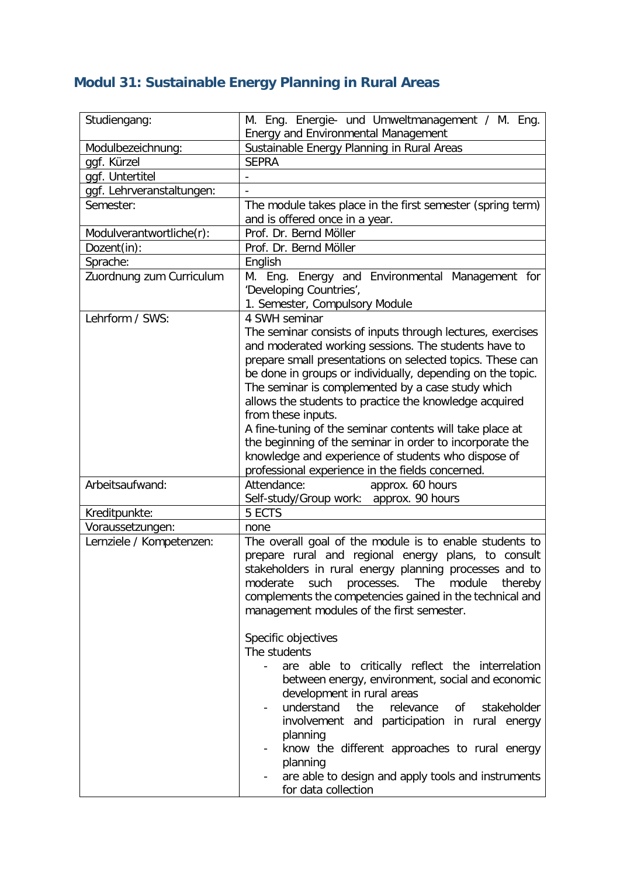## **Modul 31: Sustainable Energy Planning in Rural Areas**

| Studiengang:                      | M. Eng. Energie- und Umweltmanagement / M. Eng.                                              |
|-----------------------------------|----------------------------------------------------------------------------------------------|
|                                   | Energy and Environmental Management                                                          |
| Modulbezeichnung:                 | Sustainable Energy Planning in Rural Areas                                                   |
| ggf. Kürzel                       | <b>SEPRA</b>                                                                                 |
| ggf. Untertitel                   |                                                                                              |
| ggf. Lehrveranstaltungen:         |                                                                                              |
| Semester:                         | The module takes place in the first semester (spring term)<br>and is offered once in a year. |
| Modulverantwortliche(r):          | Prof. Dr. Bernd Möller                                                                       |
| Dozent(in):                       | Prof. Dr. Bernd Möller                                                                       |
| Sprache:                          | English                                                                                      |
| Zuordnung zum Curriculum          | M. Eng. Energy and Environmental Management for                                              |
|                                   | 'Developing Countries',                                                                      |
|                                   | 1. Semester, Compulsory Module                                                               |
| Lehrform / SWS:                   | 4 SWH seminar                                                                                |
|                                   | The seminar consists of inputs through lectures, exercises                                   |
|                                   | and moderated working sessions. The students have to                                         |
|                                   | prepare small presentations on selected topics. These can                                    |
|                                   | be done in groups or individually, depending on the topic.                                   |
|                                   | The seminar is complemented by a case study which                                            |
|                                   | allows the students to practice the knowledge acquired                                       |
|                                   | from these inputs.                                                                           |
|                                   | A fine-tuning of the seminar contents will take place at                                     |
|                                   | the beginning of the seminar in order to incorporate the                                     |
|                                   | knowledge and experience of students who dispose of                                          |
|                                   |                                                                                              |
| Arbeitsaufwand:                   | professional experience in the fields concerned.<br>Attendance:<br>approx. 60 hours          |
|                                   |                                                                                              |
|                                   | Self-study/Group work: approx. 90 hours<br>5 ECTS                                            |
| Kreditpunkte:<br>Voraussetzungen: | none                                                                                         |
| Lernziele / Kompetenzen:          | The overall goal of the module is to enable students to                                      |
|                                   | prepare rural and regional energy plans, to consult                                          |
|                                   |                                                                                              |
|                                   | stakeholders in rural energy planning processes and to                                       |
|                                   | moderate<br>such<br>processes.<br>The<br>module<br>thereby                                   |
|                                   | complements the competencies gained in the technical and                                     |
|                                   | management modules of the first semester.                                                    |
|                                   |                                                                                              |
|                                   | Specific objectives                                                                          |
|                                   | The students                                                                                 |
|                                   | are able to critically reflect the interrelation                                             |
|                                   | between energy, environment, social and economic                                             |
|                                   | development in rural areas                                                                   |
|                                   | understand<br>the<br>relevance<br>stakeholder<br>οf                                          |
|                                   | involvement and participation in rural energy                                                |
|                                   | planning                                                                                     |
|                                   | know the different approaches to rural energy                                                |
|                                   | planning                                                                                     |
|                                   | are able to design and apply tools and instruments                                           |
|                                   | for data collection                                                                          |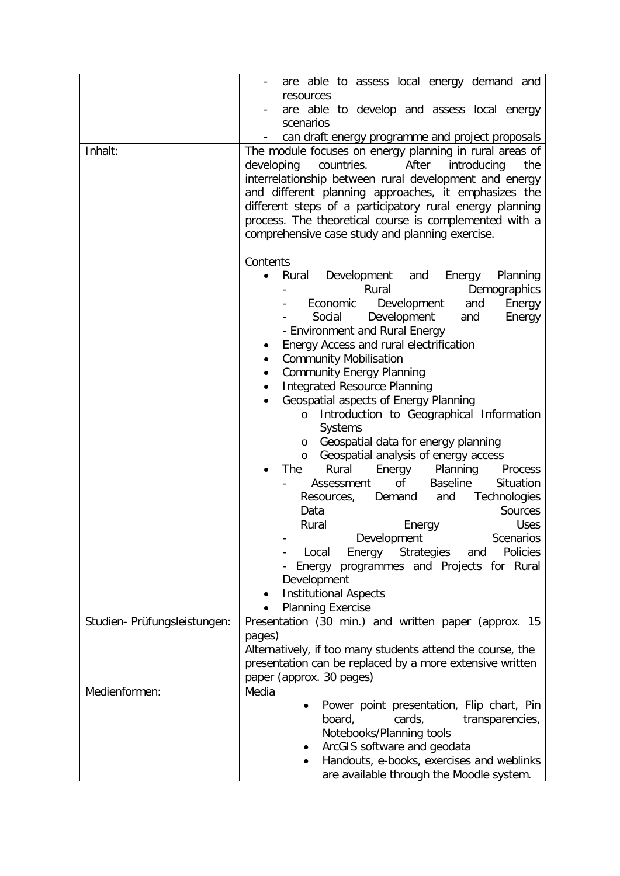|                              | are able to assess local energy demand and                                                                         |
|------------------------------|--------------------------------------------------------------------------------------------------------------------|
|                              | resources                                                                                                          |
|                              | are able to develop and assess local energy                                                                        |
|                              | scenarios                                                                                                          |
|                              | can draft energy programme and project proposals                                                                   |
| Inhalt:                      | The module focuses on energy planning in rural areas of                                                            |
|                              | developing countries.<br>After<br>introducing<br>the                                                               |
|                              | interrelationship between rural development and energy                                                             |
|                              | and different planning approaches, it emphasizes the                                                               |
|                              | different steps of a participatory rural energy planning<br>process. The theoretical course is complemented with a |
|                              | comprehensive case study and planning exercise.                                                                    |
|                              |                                                                                                                    |
|                              | Contents                                                                                                           |
|                              | Rural Development<br>Planning<br>and<br>Energy<br>$\bullet$                                                        |
|                              | Rural<br>Demographics                                                                                              |
|                              | Economic<br>Development<br>and<br>Energy                                                                           |
|                              | Development<br>Social<br>and<br>Energy                                                                             |
|                              | - Environment and Rural Energy                                                                                     |
|                              | Energy Access and rural electrification<br>٠                                                                       |
|                              | <b>Community Mobilisation</b><br>٠                                                                                 |
|                              | <b>Community Energy Planning</b><br>٠                                                                              |
|                              | <b>Integrated Resource Planning</b><br>$\bullet$<br>Geospatial aspects of Energy Planning<br>$\bullet$             |
|                              | Introduction to Geographical Information<br>$\circ$                                                                |
|                              | Systems                                                                                                            |
|                              | Geospatial data for energy planning<br>O                                                                           |
|                              | Geospatial analysis of energy access<br>$\circ$                                                                    |
|                              | Rural<br>Energy<br>Planning<br>The<br>Process                                                                      |
|                              | of the origin of the original control.<br><b>Baseline</b><br>Situation<br>Assessment                               |
|                              | Technologies<br>Demand<br>Resources,<br>and                                                                        |
|                              | Sources<br>Data                                                                                                    |
|                              | Rural<br><b>Uses</b><br>Energy<br>Scenarios                                                                        |
|                              | Development<br>Strategies<br>Policies<br>Local<br>Energy<br>and                                                    |
|                              | Energy programmes and Projects for Rural                                                                           |
|                              | Development                                                                                                        |
|                              | <b>Institutional Aspects</b><br>٠                                                                                  |
|                              | <b>Planning Exercise</b>                                                                                           |
| Studien- Prüfungsleistungen: | Presentation (30 min.) and written paper (approx. 15                                                               |
|                              | pages)                                                                                                             |
|                              | Alternatively, if too many students attend the course, the                                                         |
|                              | presentation can be replaced by a more extensive written                                                           |
|                              | paper (approx. 30 pages)                                                                                           |
| Medienformen:                | Media<br>Power point presentation, Flip chart, Pin                                                                 |
|                              | cards,<br>board,<br>transparencies,                                                                                |
|                              | Notebooks/Planning tools                                                                                           |
|                              | ArcGIS software and geodata                                                                                        |
|                              | Handouts, e-books, exercises and weblinks                                                                          |
|                              | are available through the Moodle system.                                                                           |